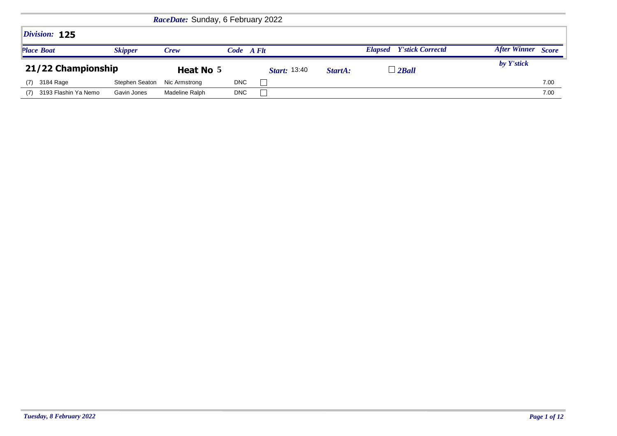|                   |                      |                | RaceDate: Sunday, 6 February 2022 |            |                     |         |                                           |                     |              |
|-------------------|----------------------|----------------|-----------------------------------|------------|---------------------|---------|-------------------------------------------|---------------------|--------------|
|                   | Division: 125        |                |                                   |            |                     |         |                                           |                     |              |
| <b>Place Boat</b> |                      | <b>Skipper</b> | <b>Crew</b>                       | Code A Flt |                     |         | <b>Y'stick Correctd</b><br><b>Elapsed</b> | <b>After Winner</b> | <b>Score</b> |
|                   | 21/22 Championship   |                | Heat No 5                         |            | <b>Start:</b> 13:40 | StartA: | $\perp$ 2 Ball                            | by Y'stick          |              |
| (7)               | 3184 Rage            | Stephen Seaton | Nic Armstrong                     | <b>DNC</b> |                     |         |                                           |                     | 7.00         |
| (7)               | 3193 Flashin Ya Nemo | Gavin Jones    | Madeline Ralph                    | <b>DNC</b> |                     |         |                                           |                     | 7.00         |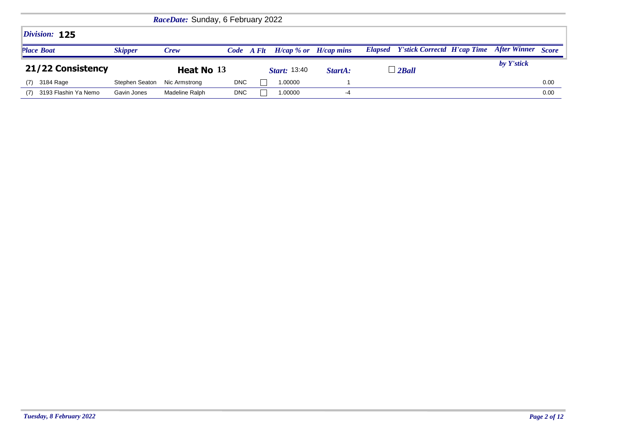| RaceDate: Sunday, 6 February 2022 |                   |                |               |            |  |                           |         |  |                                            |  |                           |      |  |
|-----------------------------------|-------------------|----------------|---------------|------------|--|---------------------------|---------|--|--------------------------------------------|--|---------------------------|------|--|
|                                   | Division: 125     |                |               |            |  |                           |         |  |                                            |  |                           |      |  |
| <b>Place Boat</b>                 |                   | <b>Skipper</b> | <b>Crew</b>   | Code A Flt |  | $H/cap$ % or $H/cap$ mins |         |  | <b>Elapsed</b> Y'stick Correctd H'cap Time |  | <b>After Winner</b> Score |      |  |
|                                   |                   |                |               |            |  |                           |         |  |                                            |  |                           |      |  |
|                                   | 21/22 Consistency |                | Heat No 13    |            |  | <b>Start:</b> 13:40       | StartA: |  | $\perp$ 2 Ball                             |  | by Y'stick                |      |  |
| (7)                               | 3184 Rage         | Stephen Seaton | Nic Armstrong | <b>DNC</b> |  | 1.00000                   |         |  |                                            |  |                           | 0.00 |  |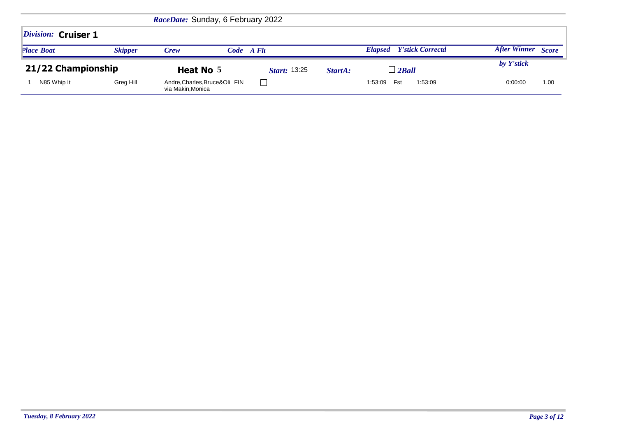|                     |                | RaceDate: Sunday, 6 February 2022                 |                     |         |                                           |                     |              |
|---------------------|----------------|---------------------------------------------------|---------------------|---------|-------------------------------------------|---------------------|--------------|
| Division: Cruiser 1 |                |                                                   |                     |         |                                           |                     |              |
| <b>Place Boat</b>   | <b>Skipper</b> | <b>Crew</b>                                       | Code A Flt          |         | <b>Y'stick Correctd</b><br><b>Elapsed</b> | <b>After Winner</b> | <b>Score</b> |
| 21/22 Championship  |                | Heat No 5                                         | <b>Start:</b> 13:25 | StartA: | $\perp$ 2Ball                             | by Y'stick          |              |
| N85 Whip It         | Greg Hill      | Andre, Charles, Bruce&Oli FIN<br>via Makin,Monica |                     |         | Fst<br>1:53:09<br>1:53:09                 | 0:00:00             | 1.00         |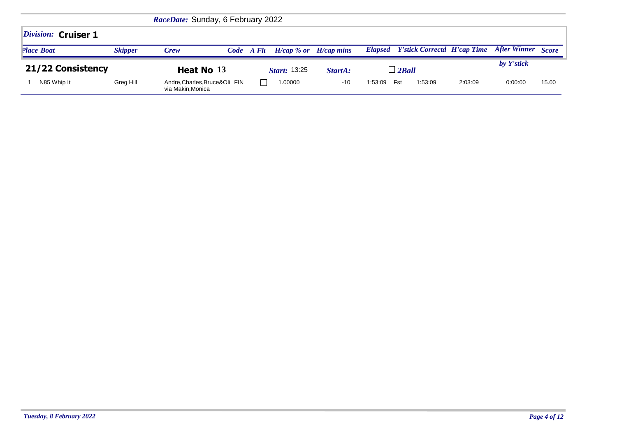|                     |                | RaceDate: Sunday, 6 February 2022                  |                             |               |                                                      |         |                     |              |
|---------------------|----------------|----------------------------------------------------|-----------------------------|---------------|------------------------------------------------------|---------|---------------------|--------------|
| Division: Cruiser 1 |                |                                                    |                             |               |                                                      |         |                     |              |
| <b>Place Boat</b>   | <b>Skipper</b> | Crew                                               | $H/cap \% or$<br>Code A Flt | $H/c$ ap mins | <b>Y'stick Correctd H'cap Time</b><br><b>Elapsed</b> |         | <b>After Winner</b> | <b>Score</b> |
| 21/22 Consistency   |                | Heat No 13                                         | <i>Start:</i> 13:25         | StartA:       | $\perp$ 2Ball                                        |         | by Y'stick          |              |
| N85 Whip It         | Greg Hill      | Andre, Charles, Bruce&Oli FIN<br>via Makin, Monica | 1.00000                     | $-10$         | 1:53:09<br>Fst<br>1:53:09                            | 2:03:09 | 0:00:00             | 15.00        |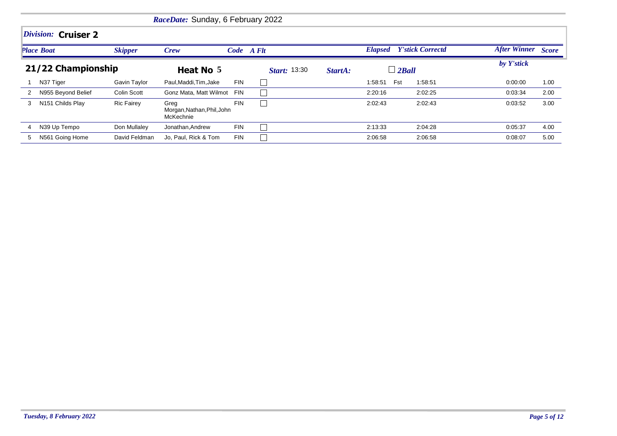|   |                     |                   | RaceDate: Sunday, 6 February 2022               |            |                     |         |                |                         |                    |      |
|---|---------------------|-------------------|-------------------------------------------------|------------|---------------------|---------|----------------|-------------------------|--------------------|------|
|   | Division: Cruiser 2 |                   |                                                 |            |                     |         |                |                         |                    |      |
|   | <b>Place Boat</b>   | <b>Skipper</b>    | Crew                                            | Code A Flt |                     |         | <b>Elapsed</b> | <b>Y'stick Correctd</b> | After Winner Score |      |
|   | 21/22 Championship  |                   | Heat No 5                                       |            | <b>Start:</b> 13:30 | StartA: | $\perp$ 2Ball  |                         | by Y'stick         |      |
|   | N37 Tiger           | Gavin Taylor      | Paul, Maddi, Tim, Jake                          | <b>FIN</b> |                     |         | Fst<br>1:58:51 | 1:58:51                 | 0:00:00            | 1.00 |
| 2 | N955 Beyond Belief  | Colin Scott       | Gonz Mata, Matt Wilmot FIN                      |            |                     |         | 2:20:16        | 2:02:25                 | 0:03:34            | 2.00 |
| 3 | N151 Childs Play    | <b>Ric Fairey</b> | Greg<br>Morgan, Nathan, Phil, John<br>McKechnie | <b>FIN</b> |                     |         | 2:02:43        | 2:02:43                 | 0:03:52            | 3.00 |
| 4 | N39 Up Tempo        | Don Mullaley      | Jonathan, Andrew                                | <b>FIN</b> |                     |         | 2:13:33        | 2:04:28                 | 0:05:37            | 4.00 |
| 5 | N561 Going Home     | David Feldman     | Jo, Paul, Rick & Tom                            | <b>FIN</b> |                     |         | 2:06:58        | 2:06:58                 | 0:08:07            | 5.00 |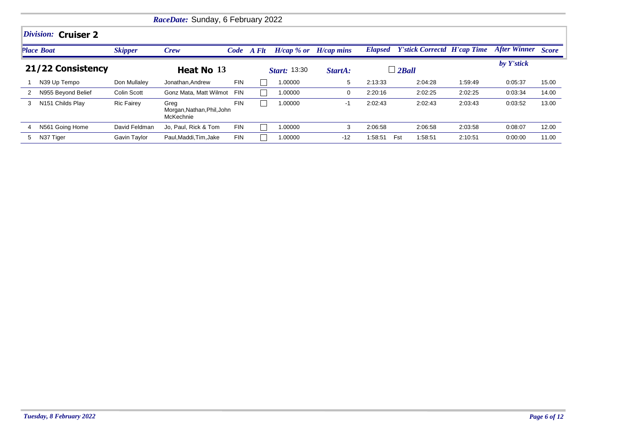| RaceDate: Sunday, 6 February 2022 |                     |                   |                                                 |            |  |                     |              |         |                                            |         |                    |       |  |  |
|-----------------------------------|---------------------|-------------------|-------------------------------------------------|------------|--|---------------------|--------------|---------|--------------------------------------------|---------|--------------------|-------|--|--|
|                                   | Division: Cruiser 2 |                   |                                                 |            |  |                     |              |         |                                            |         |                    |       |  |  |
|                                   | <b>Place Boat</b>   | <b>Skipper</b>    | Crew                                            | Code A Flt |  | $H/cap \, % or$     | $H/cap$ mins |         | <b>Elapsed</b> Y'stick Correctd H'cap Time |         | After Winner Score |       |  |  |
|                                   | 21/22 Consistency   |                   | Heat No 13                                      |            |  | <b>Start:</b> 13:30 | StartA:      |         | $\perp$ 2Ball                              |         | by Y'stick         |       |  |  |
|                                   | N39 Up Tempo        | Don Mullaley      | Jonathan, Andrew                                | <b>FIN</b> |  | 1.00000             | 5            | 2:13:33 | 2:04:28                                    | 1:59:49 | 0:05:37            | 15.00 |  |  |
| 2                                 | N955 Beyond Belief  | Colin Scott       | Gonz Mata, Matt Wilmot                          | FIN        |  | 1.00000             | 0            | 2:20:16 | 2:02:25                                    | 2:02:25 | 0:03:34            | 14.00 |  |  |
| 3                                 | N151 Childs Play    | <b>Ric Fairey</b> | Greg<br>Morgan, Nathan, Phil, John<br>McKechnie | <b>FIN</b> |  | 1.00000             | $-1$         | 2:02:43 | 2:02:43                                    | 2:03:43 | 0:03:52            | 13.00 |  |  |
| 4                                 | N561 Going Home     | David Feldman     | Jo, Paul, Rick & Tom                            | <b>FIN</b> |  | 1.00000             | 3            | 2:06:58 | 2:06:58                                    | 2:03:58 | 0:08:07            | 12.00 |  |  |
| 5                                 | N37 Tiger           | Gavin Taylor      | Paul.Maddi.Tim.Jake                             | <b>FIN</b> |  | 1.00000             | $-12$        | 1:58:51 | Fst<br>1:58:51                             | 2:10:51 | 0:00:00            | 11.00 |  |  |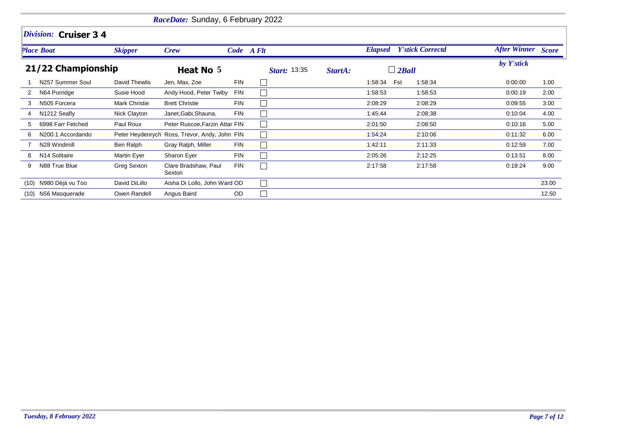|      |                           |                | RaceDate: Sunday, 6 February 2022             |            |                     |         |                |              |                         |                    |       |
|------|---------------------------|----------------|-----------------------------------------------|------------|---------------------|---------|----------------|--------------|-------------------------|--------------------|-------|
|      | Division: Cruiser 3 4     |                |                                               |            |                     |         |                |              |                         |                    |       |
|      | Place Boat                | <b>Skipper</b> | <b>Crew</b>                                   |            | Code A Flt          |         | <b>Elapsed</b> |              | <b>Y'stick Correctd</b> | After Winner Score |       |
|      | 21/22 Championship        |                | Heat No 5                                     |            | <b>Start: 13:35</b> | StartA: |                | $\Box$ 2Ball |                         | by Y'stick         |       |
|      | N257 Summer Soul          | David Thewlis  | Jen, Max, Zoe                                 | <b>FIN</b> |                     |         | 1:58:34        | Fst          | 1:58:34                 | 0:00:00            | 1.00  |
| 2    | N64 Porridge              | Susie Hood     | Andy Hood, Peter Twiby                        | <b>FIN</b> |                     |         | 1:58:53        |              | 1:58:53                 | 0:00:19            | 2.00  |
|      | N505 Forcera              | Mark Christie  | <b>Brett Christie</b>                         | <b>FIN</b> |                     |         | 2:08:29        |              | 2:08:29                 | 0:09:55            | 3.00  |
| 4    | N1212 Seafly              | Nick Clayton   | Janet, Gabi, Shauna,                          | <b>FIN</b> |                     |         | 1:45:44        |              | 2:08:38                 | 0:10:04            | 4.00  |
| 5    | 6998 Farr Fetched         | Paul Roux      | Peter Ruscoe, Farzin Attar FIN                |            |                     |         | 2:01:50        |              | 2:08:50                 | 0:10:16            | 5.00  |
| 6    | N200.1 Accordando         |                | Peter Heydenrych Ross, Trevor, Andy, John FIN |            |                     |         | 1:54:24        |              | 2:10:06                 | 0:11:32            | 6.00  |
|      | N28 Windmill              | Ben Ralph      | Gray Ralph, Miller                            | FIN        |                     |         | 1:42:11        |              | 2:11:33                 | 0:12:59            | 7.00  |
|      | N <sub>14</sub> Solitaire | Martin Eyer    | Sharon Eyer                                   | <b>FIN</b> |                     |         | 2:05:26        |              | 2:12:25                 | 0:13:51            | 8.00  |
| 9    | N88 True Blue             | Greg Sexton    | Clare Bradshaw, Paul<br>Sexton                | <b>FIN</b> |                     |         | 2:17:58        |              | 2:17:58                 | 0:19:24            | 9.00  |
| (10) | N980 Déjà vu Too          | David DiLillo  | Aisha Di Lollo, John Ward OD                  |            |                     |         |                |              |                         |                    | 23.00 |
| (10) | N56 Masquerade            | Owen Randell   | Angus Baird                                   | OD         |                     |         |                |              |                         |                    | 12.50 |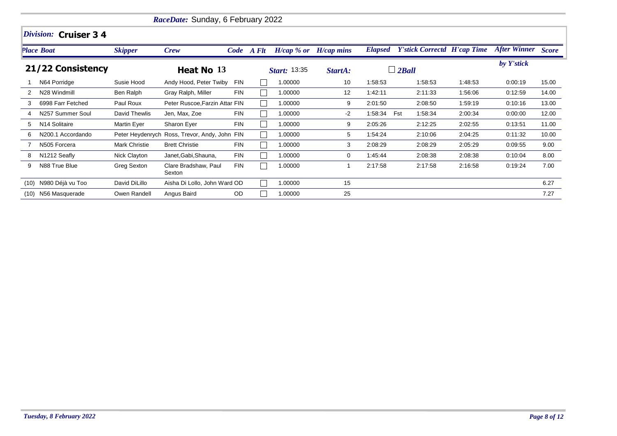|      | RaceDate: Sunday, 6 February 2022 |                |                                               |            |            |                        |                    |                |                                    |         |                     |              |  |  |  |
|------|-----------------------------------|----------------|-----------------------------------------------|------------|------------|------------------------|--------------------|----------------|------------------------------------|---------|---------------------|--------------|--|--|--|
|      | Division: Cruiser 3 4             |                |                                               |            |            |                        |                    |                |                                    |         |                     |              |  |  |  |
|      | <b>Place Boat</b>                 | <b>Skipper</b> | <b>Crew</b>                                   |            | Code A Flt | $H/cap \mathcal{A}$ or | <b>H</b> /cap mins | <b>Elapsed</b> | <b>Y'stick Correctd H'cap Time</b> |         | <b>After Winner</b> | <b>Score</b> |  |  |  |
|      | 21/22 Consistency                 |                | Heat No 13                                    |            |            | <b>Start: 13:35</b>    | StartA:            |                | $\Box$ 2Ball                       |         | by Y'stick          |              |  |  |  |
|      | N64 Porridge                      | Susie Hood     | Andy Hood, Peter Twiby                        | <b>FIN</b> |            | 1.00000                | 10                 | 1:58:53        | 1:58:53                            | 1:48:53 | 0:00:19             | 15.00        |  |  |  |
|      | N28 Windmill                      | Ben Ralph      | Gray Ralph, Miller                            | <b>FIN</b> |            | 1.00000                | $12 \overline{ }$  | 1:42:11        | 2:11:33                            | 1:56:06 | 0:12:59             | 14.00        |  |  |  |
| 3    | 6998 Farr Fetched                 | Paul Roux      | Peter Ruscoe, Farzin Attar FIN                |            |            | 1.00000                | 9                  | 2:01:50        | 2:08:50                            | 1:59:19 | 0:10:16             | 13.00        |  |  |  |
|      | N257 Summer Soul                  | David Thewlis  | Jen, Max, Zoe                                 | <b>FIN</b> |            | 1.00000                | -2                 | 1:58:34        | Fst<br>1:58:34                     | 2:00:34 | 0:00:00             | 12.00        |  |  |  |
| 5.   | N <sub>14</sub> Solitaire         | Martin Eyer    | Sharon Eyer                                   | <b>FIN</b> |            | 1.00000                | 9                  | 2:05:26        | 2:12:25                            | 2:02:55 | 0:13:51             | 11.00        |  |  |  |
| 6    | N200.1 Accordando                 |                | Peter Heydenrych Ross, Trevor, Andy, John FIN |            |            | 1.00000                | 5                  | 1:54:24        | 2:10:06                            | 2:04:25 | 0:11:32             | 10.00        |  |  |  |
|      | N505 Forcera                      | Mark Christie  | <b>Brett Christie</b>                         | <b>FIN</b> |            | 1.00000                | 3                  | 2:08:29        | 2:08:29                            | 2:05:29 | 0:09:55             | 9.00         |  |  |  |
| 8    | N1212 Seafly                      | Nick Clayton   | Janet, Gabi, Shauna,                          | <b>FIN</b> |            | 1.00000                | 0                  | 1:45:44        | 2:08:38                            | 2:08:38 | 0:10:04             | 8.00         |  |  |  |
| 9    | N88 True Blue                     | Greg Sexton    | Clare Bradshaw, Paul<br>Sexton                | <b>FIN</b> |            | 1.00000                |                    | 2:17:58        | 2:17:58                            | 2:16:58 | 0:19:24             | 7.00         |  |  |  |
| (10) | N980 Déjà vu Too                  | David DiLillo  | Aisha Di Lollo, John Ward OD                  |            |            | 1.00000                | 15                 |                |                                    |         |                     | 6.27         |  |  |  |
| (10) | N56 Masquerade                    | Owen Randell   | Angus Baird                                   | OD         |            | 1.00000                | 25                 |                |                                    |         |                     | 7.27         |  |  |  |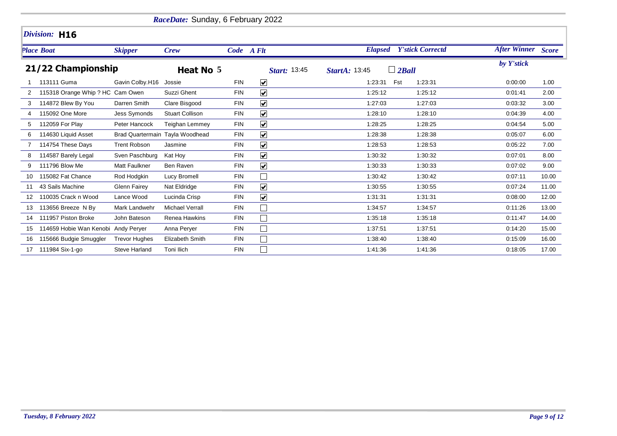|    |                                     |                        | RaceDate: Sunday, 6 February 2022 |            |                             |                      |                         |                           |       |
|----|-------------------------------------|------------------------|-----------------------------------|------------|-----------------------------|----------------------|-------------------------|---------------------------|-------|
|    | Division: H16                       |                        |                                   |            |                             |                      |                         |                           |       |
|    | <b>Place Boat</b>                   | <b>Skipper</b>         | <b>Crew</b>                       |            | Code A Flt                  | <b>Elapsed</b>       | <b>Y'stick Correctd</b> | <b>After Winner</b> Score |       |
|    | 21/22 Championship                  |                        | Heat No 5                         |            | <b>Start: 13:45</b>         | <b>StartA: 13:45</b> | $\Box$ 2Ball            | by Y'stick                |       |
|    | 113111 Guma                         | Gavin Colby.H16 Jossie |                                   | <b>FIN</b> | $\blacktriangledown$        | 1:23:31              | Fst<br>1.23:31          | 0:00:00                   | 1.00  |
|    | 115318 Orange Whip ? HC Cam Owen    |                        | Suzzi Ghent                       | <b>FIN</b> | $\blacktriangledown$        | 1:25:12              | 1:25:12                 | 0:01:41                   | 2.00  |
| 3  | 114872 Blew By You                  | Darren Smith           | Clare Bisgood                     | <b>FIN</b> | $\blacktriangledown$        | 1:27:03              | 1:27:03                 | 0:03:32                   | 3.00  |
|    | 115092 One More                     | Jess Symonds           | <b>Stuart Collison</b>            | <b>FIN</b> | $\blacktriangledown$        | 1:28:10              | 1:28:10                 | 0:04:39                   | 4.00  |
| 5  | 112059 For Play                     | Peter Hancock          | <b>Teighan Lemmey</b>             | <b>FIN</b> | $\blacktriangledown$        | 1:28:25              | 1:28:25                 | 0:04:54                   | 5.00  |
| 6  | 114630 Liquid Asset                 |                        | Brad Quartermain Tayla Woodhead   | <b>FIN</b> | $\overline{\mathbf{v}}$     | 1:28:38              | 1:28:38                 | 0:05:07                   | 6.00  |
|    | 114754 These Days                   | <b>Trent Robson</b>    | Jasmine                           | FIN        | $\blacktriangledown$        | 1:28:53              | 1:28:53                 | 0:05:22                   | 7.00  |
| 8  | 114587 Barely Legal                 | Sven Paschburg         | Kat Hoy                           | <b>FIN</b> | $\blacktriangledown$        | 1:30:32              | 1:30:32                 | 0:07:01                   | 8.00  |
| 9  | 111796 Blow Me                      | Matt Faulkner          | Ben Raven                         | <b>FIN</b> | $\blacktriangledown$        | 1:30:33              | 1:30:33                 | 0:07:02                   | 9.00  |
| 10 | 115082 Fat Chance                   | Rod Hodgkin            | Lucy Bromell                      | <b>FIN</b> |                             | 1:30:42              | 1:30:42                 | 0:07:11                   | 10.00 |
| 11 | 43 Sails Machine                    | <b>Glenn Fairey</b>    | Nat Eldridge                      | <b>FIN</b> | $\blacktriangledown$        | 1:30:55              | 1:30:55                 | 0:07:24                   | 11.00 |
| 12 | 110035 Crack n Wood                 | Lance Wood             | Lucinda Crisp                     | <b>FIN</b> | $\blacktriangledown$        | 1:31:31              | 1:31:31                 | 0:08:00                   | 12.00 |
| 13 | 113656 Breeze N By                  | Mark Landwehr          | <b>Michael Verrall</b>            | <b>FIN</b> | $\Box$                      | 1:34:57              | 1:34:57                 | 0:11:26                   | 13.00 |
| 14 | 111957 Piston Broke                 | John Bateson           | Renea Hawkins                     | <b>FIN</b> | $\mathcal{L}_{\mathcal{A}}$ | 1:35:18              | 1:35:18                 | 0:11:47                   | 14.00 |
|    | 114659 Hobie Wan Kenobi Andy Peryer |                        | Anna Perver                       | <b>FIN</b> | $\Box$                      | 1:37:51              | 1.37:51                 | 0:14:20                   | 15.00 |
| 16 | 115666 Budgie Smuggler              | <b>Trevor Hughes</b>   | Elizabeth Smith                   | <b>FIN</b> |                             | 1:38:40              | 1:38:40                 | 0:15:09                   | 16.00 |
| 17 | 111984 Six-1-go                     | <b>Steve Harland</b>   | Toni Ilich                        | <b>FIN</b> |                             | 1:41:36              | 1:41:36                 | 0:18:05                   | 17.00 |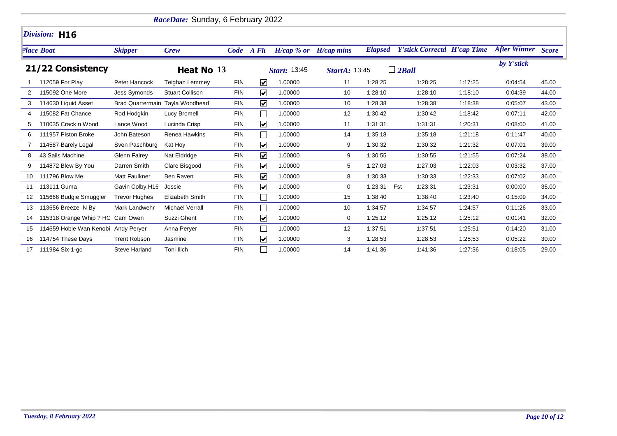|    |                                     |                      | RaceDate: Sunday, 6 February 2022 |            |                         |              |                           |                |                                    |         |                           |       |
|----|-------------------------------------|----------------------|-----------------------------------|------------|-------------------------|--------------|---------------------------|----------------|------------------------------------|---------|---------------------------|-------|
|    | Division: H16                       |                      |                                   |            |                         |              |                           |                |                                    |         |                           |       |
|    | <b>Place Boat</b>                   | <b>Skipper</b>       | <b>Crew</b>                       |            | Code A Flt              |              | $H/cap$ % or $H/cap$ mins | <b>Elapsed</b> | <b>Y'stick Correctd H'cap Time</b> |         | <b>After Winner</b> Score |       |
|    | 21/22 Consistency                   |                      | Heat No 13                        |            |                         | Start: 13:45 | <b>StartA: 13:45</b>      |                | $\Box$ 2Ball                       |         | by Y'stick                |       |
|    | 112059 For Play                     | Peter Hancock        | <b>Teighan Lemmey</b>             | <b>FIN</b> | $\overline{\mathbf{v}}$ | 1.00000      | 11                        | 1:28:25        | 1:28:25                            | 1:17:25 | 0.04.54                   | 45.00 |
| 2  | 115092 One More                     | Jess Symonds         | <b>Stuart Collison</b>            | <b>FIN</b> | $\overline{\mathbf{v}}$ | 1.00000      | 10                        | 1:28:10        | 1:28:10                            | 1:18:10 | 0:04:39                   | 44.00 |
| 3  | 114630 Liquid Asset                 |                      | Brad Quartermain Tayla Woodhead   | <b>FIN</b> | $\overline{\mathbf{v}}$ | 1.00000      | 10                        | 1:28:38        | 1:28:38                            | 1:18:38 | 0:05:07                   | 43.00 |
| 4  | 115082 Fat Chance                   | Rod Hodgkin          | Lucy Bromell                      | <b>FIN</b> |                         | 1.00000      | 12                        | 1:30:42        | 1:30:42                            | 1:18:42 | 0:07:11                   | 42.00 |
| 5  | 110035 Crack n Wood                 | Lance Wood           | Lucinda Crisp                     | <b>FIN</b> | $\overline{\mathbf{v}}$ | 1.00000      | 11                        | 1:31:31        | 1:31:31                            | 1:20:31 | 0:08:00                   | 41.00 |
| 6  | 111957 Piston Broke                 | John Bateson         | Renea Hawkins                     | <b>FIN</b> |                         | 1.00000      | 14                        | 1:35:18        | 1:35:18                            | 1:21:18 | 0:11:47                   | 40.00 |
|    | 114587 Barely Legal                 | Sven Paschburg       | Kat Hoy                           | <b>FIN</b> | $\blacktriangledown$    | 1.00000      | 9                         | 1:30:32        | 1:30:32                            | 1:21:32 | 0:07:01                   | 39.00 |
| 8  | 43 Sails Machine                    | <b>Glenn Fairey</b>  | Nat Eldridge                      | <b>FIN</b> | $\blacktriangledown$    | 1.00000      | 9                         | 1:30:55        | 1:30:55                            | 1:21:55 | 0:07:24                   | 38.00 |
| 9  | 114872 Blew By You                  | Darren Smith         | Clare Bisgood                     | <b>FIN</b> | $\blacktriangledown$    | 1.00000      | 5                         | 1:27:03        | 1:27:03                            | 1:22:03 | 0:03:32                   | 37.00 |
| 10 | 111796 Blow Me                      | Matt Faulkner        | Ben Raven                         | <b>FIN</b> | $\blacktriangledown$    | 1.00000      | 8                         | 1:30:33        | 1:30:33                            | 1:22:33 | 0:07:02                   | 36.00 |
|    | 11 113111 Guma                      | Gavin Colby.H16      | Jossie                            | <b>FIN</b> | $\blacktriangledown$    | 1.00000      | 0                         | 1:23:31        | Fst<br>1:23:31                     | 1:23:31 | 0:00:00                   | 35.00 |
| 12 | 115666 Budgie Smuggler              | <b>Trevor Hughes</b> | <b>Elizabeth Smith</b>            | <b>FIN</b> |                         | 1.00000      | 15                        | 1:38:40        | 1:38:40                            | 1:23:40 | 0:15:09                   | 34.00 |
| 13 | 113656 Breeze N By                  | Mark Landwehr        | <b>Michael Verrall</b>            | <b>FIN</b> |                         | 1.00000      | 10                        | 1:34:57        | 1:34:57                            | 1:24:57 | 0:11:26                   | 33.00 |
| 14 | 115318 Orange Whip ? HC Cam Owen    |                      | Suzzi Ghent                       | <b>FIN</b> | $\overline{\mathbf{v}}$ | 1.00000      | 0                         | 1:25:12        | 1:25:12                            | 1:25:12 | 0:01:41                   | 32.00 |
| 15 | 114659 Hobie Wan Kenobi Andy Perver |                      | Anna Perver                       | <b>FIN</b> |                         | 1.00000      | 12                        | 1:37:51        | 1:37:51                            | 1:25:51 | 0:14:20                   | 31.00 |
| 16 | 114754 These Days                   | <b>Trent Robson</b>  | Jasmine                           | <b>FIN</b> | $\overline{\mathbf{v}}$ | 1.00000      | 3                         | 1:28:53        | 1:28:53                            | 1:25:53 | 0:05:22                   | 30.00 |
| 17 | 111984 Six-1-go                     | <b>Steve Harland</b> | Toni Ilich                        | <b>FIN</b> |                         | 1.00000      | 14                        | 1:41:36        | 1:41:36                            | 1:27:36 | 0:18:05                   | 29.00 |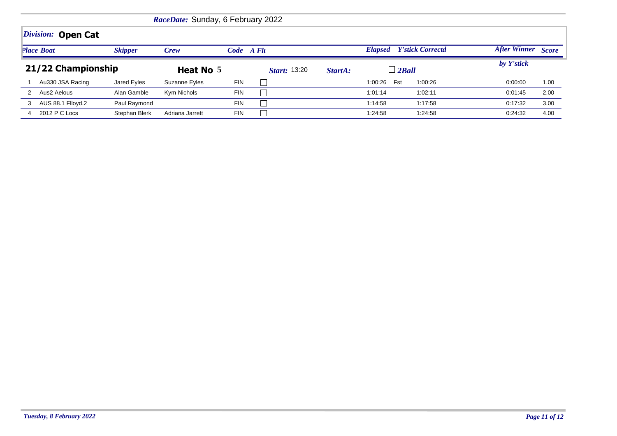|   |                    |                | RaceDate: Sunday, 6 February 2022 |            |                     |         |                |                         |                     |              |
|---|--------------------|----------------|-----------------------------------|------------|---------------------|---------|----------------|-------------------------|---------------------|--------------|
|   | Division: Open Cat |                |                                   |            |                     |         |                |                         |                     |              |
|   | <b>Place Boat</b>  | <b>Skipper</b> | Crew                              | Code A Flt |                     |         | <b>Elapsed</b> | <b>Y'stick Correctd</b> | <b>After Winner</b> | <b>Score</b> |
|   | 21/22 Championship |                | Heat No 5                         |            | <b>Start:</b> 13:20 | StartA: | $\perp$ 2 Ball |                         | by Y'stick          |              |
|   | Au330 JSA Racing   | Jared Eyles    | Suzanne Eyles                     | <b>FIN</b> |                     |         | Fst<br>1:00:26 | 1:00:26                 | 0:00:00             | 1.00         |
|   | Aus2 Aelous        | Alan Gamble    | Kym Nichols                       | <b>FIN</b> |                     |         | 1:01:14        | 1:02:11                 | 0:01:45             | 2.00         |
| 3 | AUS 88.1 Flloyd.2  | Paul Raymond   |                                   | <b>FIN</b> |                     |         | 1:14:58        | 1:17:58                 | 0:17:32             | 3.00         |
| 4 | 2012 P C Locs      | Stephan Blerk  | Adriana Jarrett                   | <b>FIN</b> |                     |         | 1:24:58        | 1:24:58                 | 0:24:32             | 4.00         |